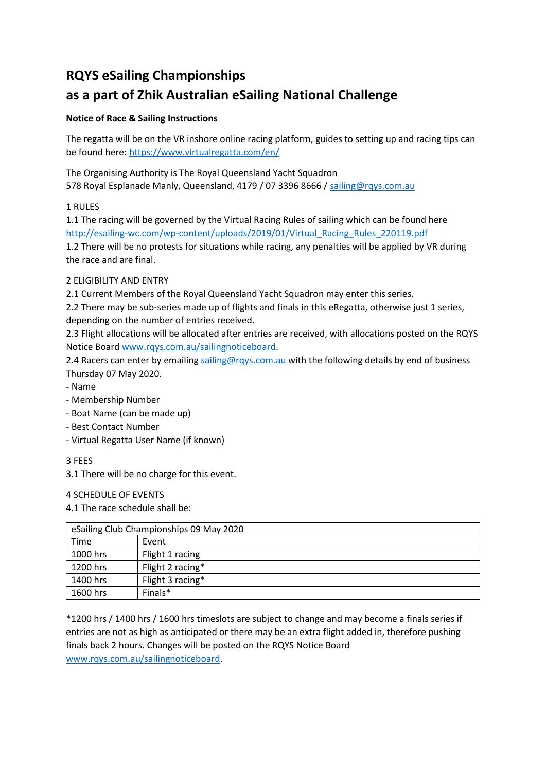# **RQYS eSailing Championships**

## **as a part of Zhik Australian eSailing National Challenge**

## **Notice of Race & Sailing Instructions**

The regatta will be on the VR inshore online racing platform, guides to setting up and racing tips can be found here[: https://www.virtualregatta.com/en/](https://www.virtualregatta.com/en/) 

The Organising Authority is The Royal Queensland Yacht Squadron 578 Royal Esplanade Manly, Queensland, 4179 / 07 3396 8666 [/ sailing@rqys.com.au](mailto:sailing@rqys.com.au)

## 1 RULES

1.1 The racing will be governed by the Virtual Racing Rules of sailing which can be found here [http://esailing-wc.com/wp-content/uploads/2019/01/Virtual\\_Racing\\_Rules\\_220119.pdf](http://esailing-wc.com/wp-content/uploads/2019/01/Virtual_Racing_Rules_220119.pdf)

1.2 There will be no protests for situations while racing, any penalties will be applied by VR during the race and are final.

## 2 ELIGIBILITY AND ENTRY

2.1 Current Members of the Royal Queensland Yacht Squadron may enter this series.

2.2 There may be sub-series made up of flights and finals in this eRegatta, otherwise just 1 series, depending on the number of entries received.

2.3 Flight allocations will be allocated after entries are received, with allocations posted on the RQYS Notice Board [www.rqys.com.au/sailingnoticeboard.](http://www.rqys.com.au/sailingnoticeboard)

2.4 Racers can enter by emailing [sailing@rqys.com.au](mailto:sailing@rqys.com.au) with the following details by end of business Thursday 07 May 2020.

- Name
- Membership Number
- Boat Name (can be made up)
- Best Contact Number
- Virtual Regatta User Name (if known)
- 3 FEES

3.1 There will be no charge for this event.

#### 4 SCHEDULE OF EVENTS

#### 4.1 The race schedule shall be:

| eSailing Club Championships 09 May 2020 |                  |
|-----------------------------------------|------------------|
| Time                                    | Event            |
| 1000 hrs                                | Flight 1 racing  |
| 1200 hrs                                | Flight 2 racing* |
| 1400 hrs                                | Flight 3 racing* |
| 1600 hrs                                | Finals*          |

\*1200 hrs / 1400 hrs / 1600 hrs timeslots are subject to change and may become a finals series if entries are not as high as anticipated or there may be an extra flight added in, therefore pushing finals back 2 hours. Changes will be posted on the RQYS Notice Board [www.rqys.com.au/sailingnoticeboard.](http://www.rqys.com.au/sailingnoticeboard)